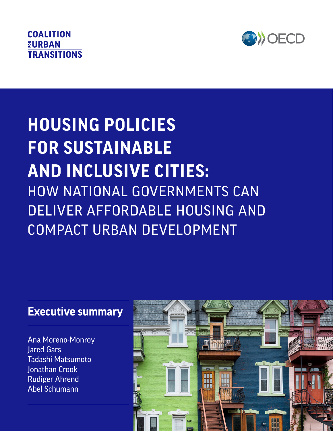# **COALITION EURBAN TRANSITIONS**



# Ehtisham Ahmad, Dan Dowling, Denise Chan, Sarah Colenbrander and Nick Godfrey **AND INCLUSIVE CITIES: HOUSING POLICIES FOR SUSTAINABLE**  HOW NATIONAL GOVERNMENTS CAN DELIVER AFFORDABLE HOUSING AND COMPACT URBAN DEVELOPMENT

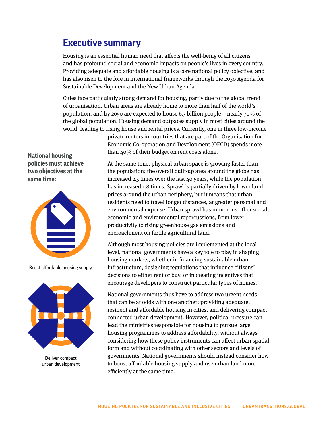## **Executive summary**

Housing is an essential human need that affects the well-being of all citizens and has profound social and economic impacts on people's lives in every country. Providing adequate and affordable housing is a core national policy objective, and has also risen to the fore in international frameworks through the 2030 Agenda for Sustainable Development and the New Urban Agenda.

Cities face particularly strong demand for housing, partly due to the global trend of urbanisation. Urban areas are already home to more than half of the world's population, and by 2050 are expected to house 6.7 billion people – nearly 70% of the global population. Housing demand outpaces supply in most cities around the world, leading to rising house and rental prices. Currently, one in three low-income

> private renters in countries that are part of the Organisation for Economic Co-operation and Development (OECD) spends more than 40% of their budget on rent costs alone.

At the same time, physical urban space is growing faster than the population: the overall built-up area around the globe has increased 2.5 times over the last 40 years, while the population has increased 1.8 times. Sprawl is partially driven by lower land prices around the urban periphery, but it means that urban residents need to travel longer distances, at greater personal and environmental expense. Urban sprawl has numerous other social, economic and environmental repercussions, from lower productivity to rising greenhouse gas emissions and encroachment on fertile agricultural land.

Although most housing policies are implemented at the local level, national governments have a key role to play in shaping housing markets, whether in financing sustainable urban infrastructure, designing regulations that influence citizens' decisions to either rent or buy, or in creating incentives that encourage developers to construct particular types of homes.

National governments thus have to address two urgent needs that can be at odds with one another: providing adequate, resilient and affordable housing in cities, and delivering compact, connected urban development. However, political pressure can lead the ministries responsible for housing to pursue large housing programmes to address affordability, without always considering how these policy instruments can affect urban spatial form and without coordinating with other sectors and levels of governments. National governments should instead consider how to boost affordable housing supply and use urban land more efficiently at the same time.

**National housing policies must achieve two objectives at the same time:**



Boost affordable housing supply



Deliver compact urban development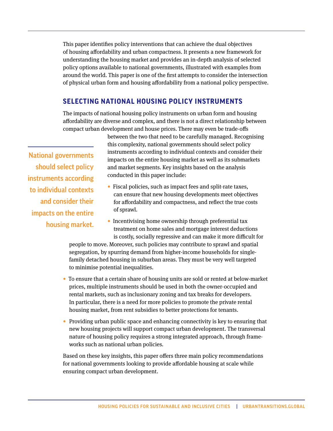This paper identifies policy interventions that can achieve the dual objectives of housing affordability and urban compactness. It presents a new framework for understanding the housing market and provides an in-depth analysis of selected policy options available to national governments, illustrated with examples from around the world. This paper is one of the first attempts to consider the intersection of physical urban form and housing affordability from a national policy perspective.

#### **SELECTING NATIONAL HOUSING POLICY INSTRUMENTS**

The impacts of national housing policy instruments on urban form and housing affordability are diverse and complex, and there is not a direct relationship between compact urban development and house prices. There may even be trade-offs

National governments should select policy instruments according to individual contexts and consider their impacts on the entire housing market.

between the two that need to be carefully managed. Recognising this complexity, national governments should select policy instruments according to individual contexts and consider their impacts on the entire housing market as well as its submarkets and market segments. Key insights based on the analysis conducted in this paper include:

- Fiscal policies, such as impact fees and split-rate taxes, can ensure that new housing developments meet objectives for affordability and compactness, and reflect the true costs of sprawl.
- Incentivising home ownership through preferential tax treatment on home sales and mortgage interest deductions is costly, socially regressive and can make it more difficult for

people to move. Moreover, such policies may contribute to sprawl and spatial segregation, by spurring demand from higher-income households for singlefamily detached housing in suburban areas. They must be very well targeted to minimise potential inequalities.

- To ensure that a certain share of housing units are sold or rented at below-market prices, multiple instruments should be used in both the owner-occupied and rental markets, such as inclusionary zoning and tax breaks for developers. In particular, there is a need for more policies to promote the private rental housing market, from rent subsidies to better protections for tenants.
- **•** Providing urban public space and enhancing connectivity is key to ensuring that new housing projects will support compact urban development. The transversal nature of housing policy requires a strong integrated approach, through frameworks such as national urban policies.

Based on these key insights, this paper offers three main policy recommendations for national governments looking to provide affordable housing at scale while ensuring compact urban development.